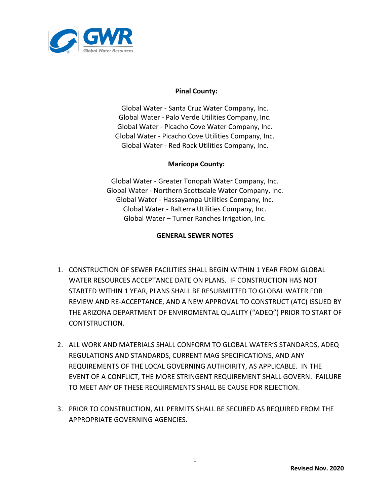

## **Pinal County:**

Global Water ‐ Santa Cruz Water Company, Inc. Global Water ‐ Palo Verde Utilities Company, Inc. Global Water ‐ Picacho Cove Water Company, Inc. Global Water ‐ Picacho Cove Utilities Company, Inc. Global Water - Red Rock Utilities Company, Inc.

## **Maricopa County:**

Global Water - Greater Tonopah Water Company, Inc. Global Water - Northern Scottsdale Water Company, Inc. Global Water - Hassayampa Utilities Company, Inc. Global Water - Balterra Utilities Company, Inc. Global Water – Turner Ranches Irrigation, Inc.

## **GENERAL SEWER NOTES**

- 1. CONSTRUCTION OF SEWER FACILITIES SHALL BEGIN WITHIN 1 YEAR FROM GLOBAL WATER RESOURCES ACCEPTANCE DATE ON PLANS. IF CONSTRUCTION HAS NOT STARTED WITHIN 1 YEAR, PLANS SHALL BE RESUBMITTED TO GLOBAL WATER FOR REVIEW AND RE-ACCEPTANCE, AND A NEW APPROVAL TO CONSTRUCT (ATC) ISSUED BY THE ARIZONA DEPARTMENT OF ENVIROMENTAL QUALITY ("ADEQ") PRIOR TO START OF CONTSTRUCTION.
- 2. ALL WORK AND MATERIALS SHALL CONFORM TO GLOBAL WATER'S STANDARDS, ADEQ REGULATIONS AND STANDARDS, CURRENT MAG SPECIFICATIONS, AND ANY REQUIREMENTS OF THE LOCAL GOVERNING AUTHOIRITY, AS APPLICABLE. IN THE EVENT OF A CONFLICT, THE MORE STRINGENT REQUIREMENT SHALL GOVERN. FAILURE TO MEET ANY OF THESE REQUIREMENTS SHALL BE CAUSE FOR REJECTION.
- 3. PRIOR TO CONSTRUCTION, ALL PERMITS SHALL BE SECURED AS REQUIRED FROM THE APPROPRIATE GOVERNING AGENCIES.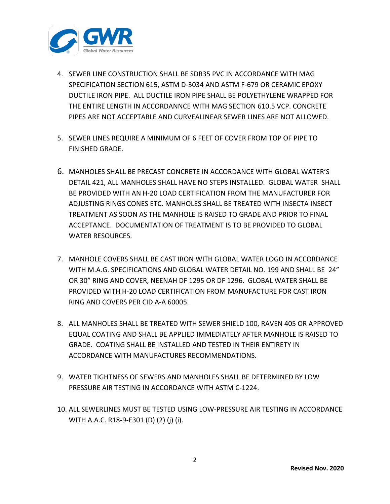

- 4. SEWER LINE CONSTRUCTION SHALL BE SDR35 PVC IN ACCORDANCE WITH MAG SPECIFICATION SECTION 615, ASTM D-3034 AND ASTM F-679 OR CERAMIC EPOXY DUCTILE IRON PIPE. ALL DUCTILE IRON PIPE SHALL BE POLYETHYLENE WRAPPED FOR THE ENTIRE LENGTH IN ACCORDANNCE WITH MAG SECTION 610.5 VCP. CONCRETE PIPES ARE NOT ACCEPTABLE AND CURVEALINEAR SEWER LINES ARE NOT ALLOWED.
- 5. SEWER LINES REQUIRE A MINIMUM OF 6 FEET OF COVER FROM TOP OF PIPE TO FINISHED GRADE.
- 6. MANHOLES SHALL BE PRECAST CONCRETE IN ACCORDANCE WITH GLOBAL WATER'S DETAIL 421, ALL MANHOLES SHALL HAVE NO STEPS INSTALLED. GLOBAL WATER SHALL BE PROVIDED WITH AN H-20 LOAD CERTIFICATION FROM THE MANUFACTURER FOR ADJUSTING RINGS CONES ETC. MANHOLES SHALL BE TREATED WITH INSECTA INSECT TREATMENT AS SOON AS THE MANHOLE IS RAISED TO GRADE AND PRIOR TO FINAL ACCEPTANCE. DOCUMENTATION OF TREATMENT IS TO BE PROVIDED TO GLOBAL WATER RESOURCES.
- 7. MANHOLE COVERS SHALL BE CAST IRON WITH GLOBAL WATER LOGO IN ACCORDANCE WITH M.A.G. SPECIFICATIONS AND GLOBAL WATER DETAIL NO. 199 AND SHALL BE 24" OR 30" RING AND COVER, NEENAH DF 1295 OR DF 1296. GLOBAL WATER SHALL BE PROVIDED WITH H-20 LOAD CERTIFICATION FROM MANUFACTURE FOR CAST IRON RING AND COVERS PER CID A-A 60005.
- 8. ALL MANHOLES SHALL BE TREATED WITH SEWER SHIELD 100, RAVEN 405 OR APPROVED EQUAL COATING AND SHALL BE APPLIED IMMEDIATELY AFTER MANHOLE IS RAISED TO GRADE. COATING SHALL BE INSTALLED AND TESTED IN THEIR ENTIRETY IN ACCORDANCE WITH MANUFACTURES RECOMMENDATIONS.
- 9. WATER TIGHTNESS OF SEWERS AND MANHOLES SHALL BE DETERMINED BY LOW PRESSURE AIR TESTING IN ACCORDANCE WITH ASTM C-1224.
- 10. ALL SEWERLINES MUST BE TESTED USING LOW-PRESSURE AIR TESTING IN ACCORDANCE WITH A.A.C. R18-9-E301 (D) (2) (j) (i).